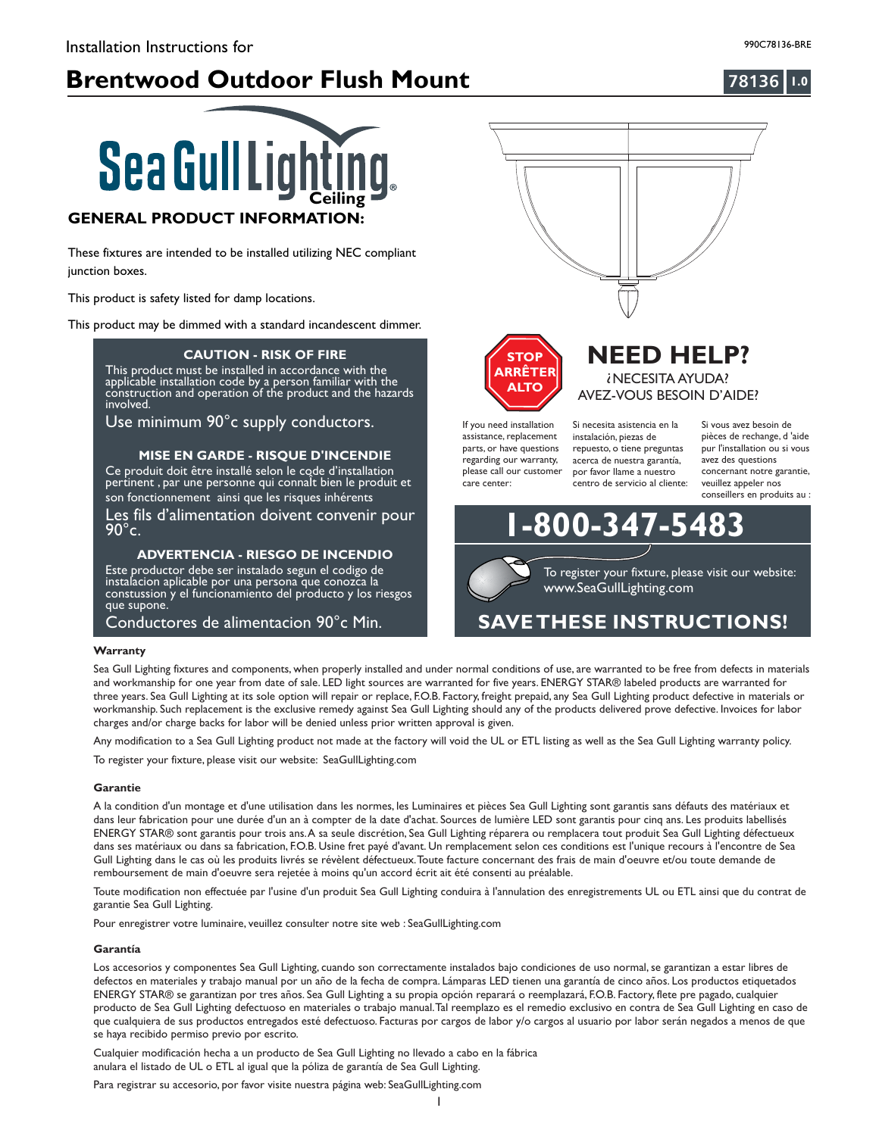# **Brentwood Outdoor Flush Mount 1.0**

### **78136**



These fixtures are intended to be installed utilizing NEC compliant junction boxes.

This product is safety listed for damp locations.

This product may be dimmed with a standard incandescent dimmer.

#### **CAUTION - RISK OF FIRE**

llation code by a person familia **This product requires installation by a qualified electrician. Before installer**<br>**Before instructions and instructions and instructions and instructions and instructions and instructions and in** This product must be installed in accordance with the applicable installation code by a person familiar with the construction and operation of the product and the hazards involved.

Use minimum 90°c supply conductors.

#### **MISE EN GARDE - RISQUE D'INCENDIE**

Ce produit doit être installé selon le code d'installation pertinent , par une personne qui connalt bien le produit et son fonctionnement ainsi que les risques inhérents

Les fils d'alimentation doivent convenir pour  $90^{\circ}$ c.

#### **ADVERTENCIA RIESGO DE INCENDIO -**

Este productor debe ser instalado segun el codigo de instalacion aplicable por una persona que conozca la constussion y el funcionamiento del producto y los riesgos que supone.

Conductores de alimentacion 90°c Min.

#### **Warranty**

Sea Gull Lighting fixtures and components, when properly installed and under normal conditions of use, are warranted to be free from defects in materials and workmanship for one year from date of sale. LED light sources are warranted for five years. ENERGY STAR® labeled products are warranted for three years. Sea Gull Lighting at its sole option will repair or replace, F.O.B. Factory, freight prepaid, any Sea Gull Lighting product defective in materials or workmanship. Such replacement is the exclusive remedy against Sea Gull Lighting should any of the products delivered prove defective. Invoices for labor charges and/or charge backs for labor will be denied unless prior written approval is given.

Any modification to a Sea Gull Lighting product not made at the factory will void the UL or ETL listing as well as the Sea Gull Lighting warranty policy.

To register your fixture, please visit our website: SeaGullLighting.com

#### **Garantie**

A la condition d'un montage et d'une utilisation dans les normes, les Luminaires et pièces Sea Gull Lighting sont garantis sans défauts des matériaux et dans leur fabrication pour une durée d'un an à compter de la date d'achat. Sources de lumière LED sont garantis pour cinq ans. Les produits labellisés ENERGY STAR® sont garantis pour trois ans.A sa seule discrétion, Sea Gull Lighting réparera ou remplacera tout produit Sea Gull Lighting défectueux dans ses matériaux ou dans sa fabrication, F.O.B. Usine fret payé d'avant. Un remplacement selon ces conditions est l'unique recours à l'encontre de Sea Gull Lighting dans le cas où les produits livrés se révèlent défectueux.Toute facture concernant des frais de main d'oeuvre et/ou toute demande de remboursement de main d'oeuvre sera rejetée à moins qu'un accord écrit ait été consenti au préalable.

Toute modification non effectuée par l'usine d'un produit Sea Gull Lighting conduira à l'annulation des enregistrements UL ou ETL ainsi que du contrat de garantie Sea Gull Lighting.

Pour enregistrer votre luminaire, veuillez consulter notre site web : SeaGullLighting.com

#### **Garantía**

Los accesorios y componentes Sea Gull Lighting, cuando son correctamente instalados bajo condiciones de uso normal, se garantizan a estar libres de defectos en materiales y trabajo manual por un año de la fecha de compra. Lámparas LED tienen una garantía de cinco años. Los productos etiquetados ENERGY STAR® se garantizan por tres años. Sea Gull Lighting a su propia opción reparará o reemplazará, F.O.B. Factory, flete pre pagado, cualquier producto de Sea Gull Lighting defectuoso en materiales o trabajo manual.Tal reemplazo es el remedio exclusivo en contra de Sea Gull Lighting en caso de que cualquiera de sus productos entregados esté defectuoso. Facturas por cargos de labor y/o cargos al usuario por labor serán negados a menos de que se haya recibido permiso previo por escrito.

Cualquier modificación hecha a un producto de Sea Gull Lighting no llevado a cabo en la fábrica anulara el listado de UL o ETL al igual que la póliza de garantía de Sea Gull Lighting.

Para registrar su accesorio, por favor visite nuestra página web: SeaGullLighting.com



**NEED HELP?** ? NECESITA AYUDA? AVEZ-VOUS BESOIN D'AIDE?



If you need installation assistance, replacement parts, or have questions regarding our warranty, please call our customer care center:

Si necesita asistencia en la instalación, piezas de repuesto, o tiene preguntas acerca de nuestra garantía, por favor llame a nuestro centro de servicio al cliente:

**1-800-347-5483**

Si vous avez besoin de pièces de rechange, d 'aide pur l'installation ou si vous avez des questions concernant notre garantie, veuillez appeler nos conseillers en produits au :

www.SeaGullLighting.com To register your fixture, please visit our website:

# **SAVETHESE INSTRUCTIONS!**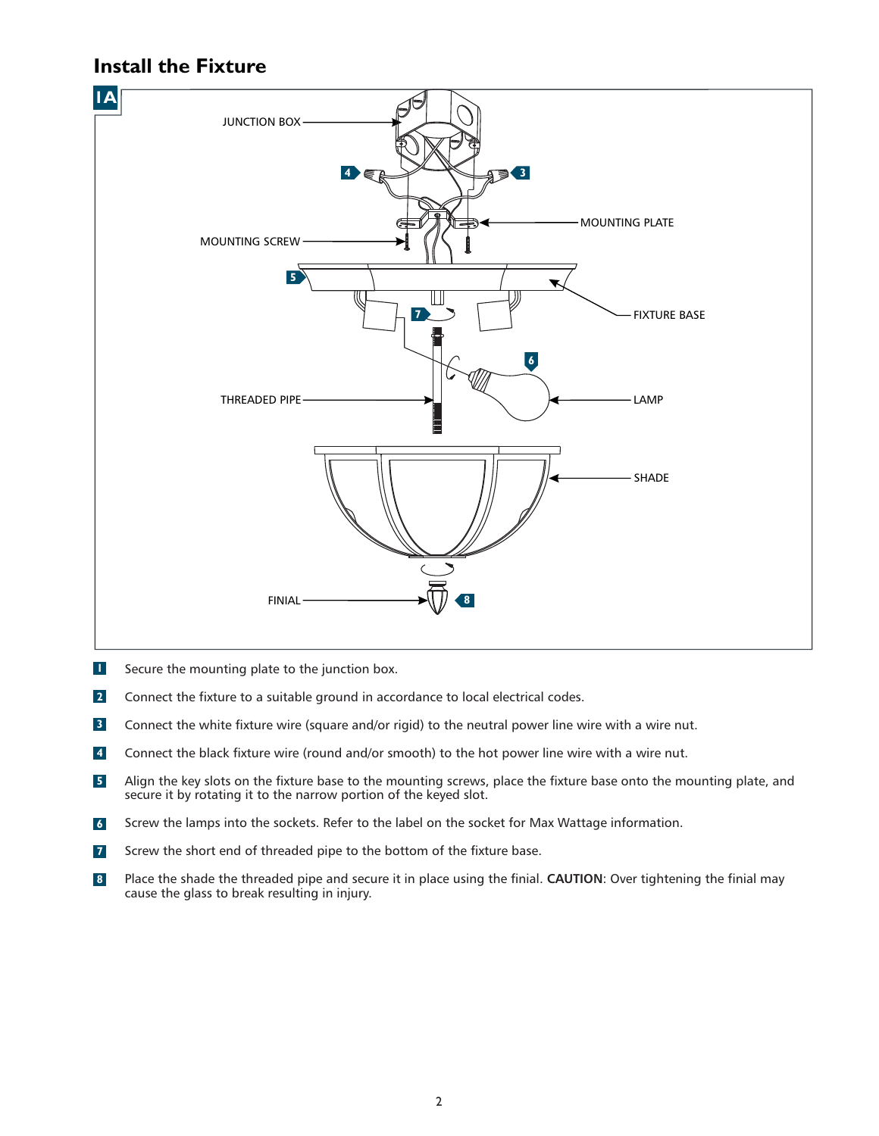# **Install the Fixture**



- Secure the mounting plate to the junction box. **1**
- Connect the fixture to a suitable ground in accordance to local electrical codes. **2**
- Connect the white fixture wire (square and/or rigid) to the neutral power line wire with a wire nut. **3**
- Connect the black fixture wire (round and/or smooth) to the hot power line wire with a wire nut. **4**
- Align the key slots on the fixture base to the mounting screws, place the fixture base onto the mounting plate, and secure it by rotating it to the narrow portion of the keyed slot. **5**
- Screw the lamps into the sockets. Refer to the label on the socket for Max Wattage information. **6**
- Screw the short end of threaded pipe to the bottom of the fixture base. **7**
- Place the shade the threaded pipe and secure it in place using the finial. CAUTION: Over tightening the finial may cause the glass to break resulting in injury. **8**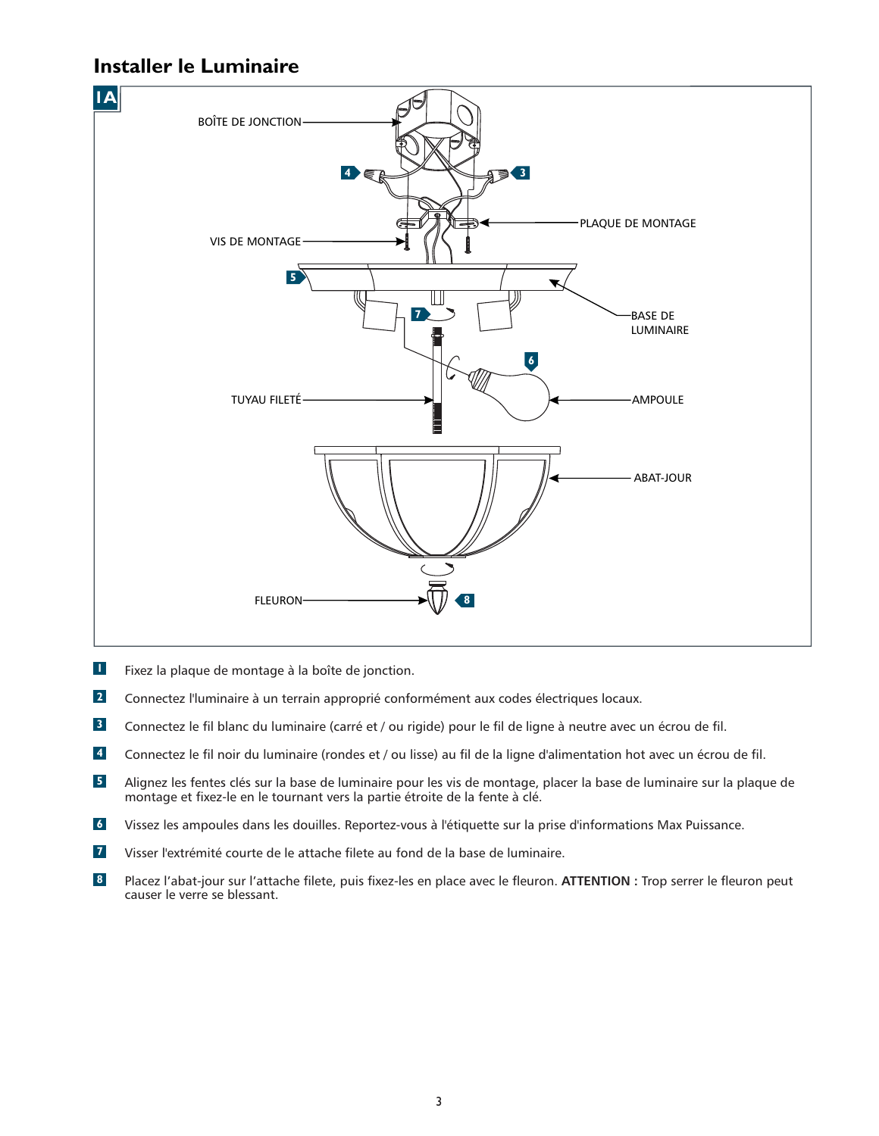## **Installer le Luminaire**



- Fixez la plaque de montage à la boîte de jonction. **1**
- Connectez l'luminaire à un terrain approprié conformément aux codes électriques locaux. **2**
- Connectez le fil blanc du luminaire (carré et / ou rigide) pour le fil de ligne à neutre avec un écrou de fil. **3**
- Connectez le fil noir du luminaire (rondes et / ou lisse) au fil de la ligne d'alimentation hot avec un écrou de fil. **4**
- Alignez les fentes clés sur la base de luminaire pour les vis de montage, placer la base de luminaire sur la plaque de montage et fixez-le en le tournant vers la partie étroite de la fente à clé. **5**
- Vissez les ampoules dans les douilles. Reportez-vous à l'étiquette sur la prise d'informations Max Puissance. **6**
- Visser l'extrémité courte de le attache filete au fond de la base de luminaire. **7**
- Placez l'abat-jour sur l'attache filete, puis fixez-les en place avec le fleuron. ATTENTION : Trop serrer le fleuron peut causer le verre se blessant. **8**